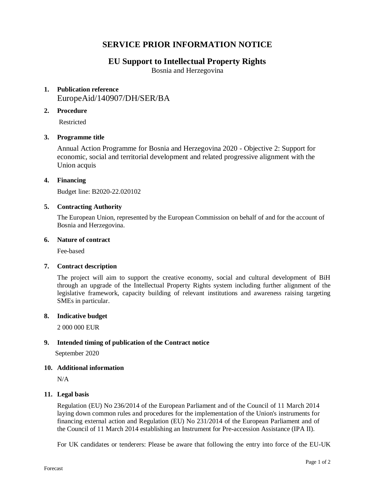# **SERVICE PRIOR INFORMATION NOTICE**

# **EU Support to Intellectual Property Rights**

Bosnia and Herzegovina

# **1. Publication reference** EuropeAid/140907/DH/SER/BA

# **2. Procedure**

Restricted

# **3. Programme title**

Annual Action Programme for Bosnia and Herzegovina 2020 - Objective 2: Support for economic, social and territorial development and related progressive alignment with the Union acquis

# **4. Financing**

Budget line: B2020-22.020102

#### **5. Contracting Authority**

The European Union, represented by the European Commission on behalf of and for the account of Bosnia and Herzegovina.

#### **6. Nature of contract**

Fee-based

# **7. Contract description**

The project will aim to support the creative economy, social and cultural development of BiH through an upgrade of the Intellectual Property Rights system including further alignment of the legislative framework, capacity building of relevant institutions and awareness raising targeting SMEs in particular.

#### **8. Indicative budget**

2 000 000 EUR

# **9. Intended timing of publication of the Contract notice**

September 2020

#### **10. Additional information**

N/A

# **11. Legal basis**

Regulation (EU) No 236/2014 of the European Parliament and of the Council of 11 March 2014 laying down common rules and procedures for the implementation of the Union's instruments for financing external action and Regulation (EU) No 231/2014 of the European Parliament and of the Council of 11 March 2014 establishing an Instrument for Pre-accession Assistance (IPA II).

For UK candidates or tenderers: Please be aware that following the entry into force of the EU-UK